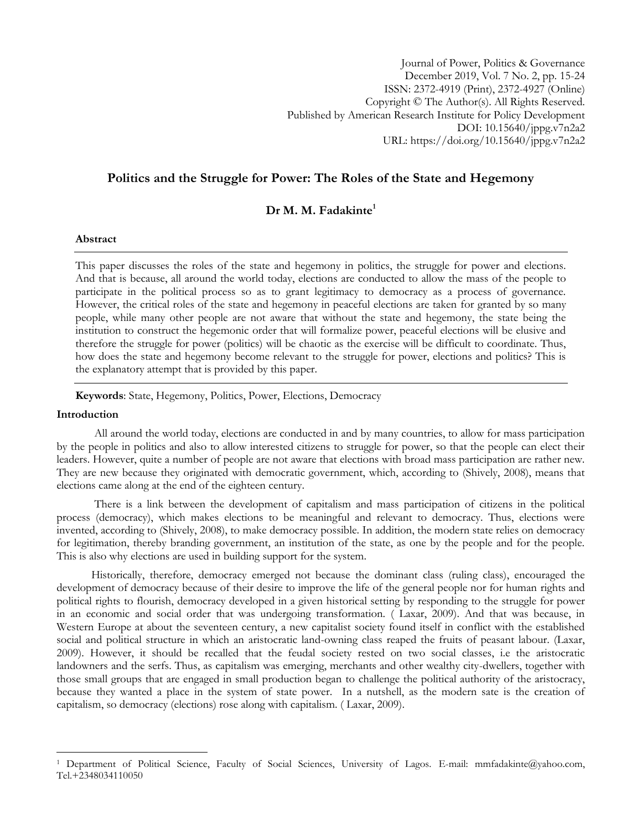Journal of Power, Politics & Governance December 2019, Vol. 7 No. 2, pp. 15-24 ISSN: 2372-4919 (Print), 2372-4927 (Online) Copyright © The Author(s). All Rights Reserved. Published by American Research Institute for Policy Development DOI: 10.15640/jppg.v7n2a2 URL: https://doi.org/10.15640/jppg.v7n2a2

# **Politics and the Struggle for Power: The Roles of the State and Hegemony**

# **Dr M. M. Fadakinte<sup>1</sup>**

#### **Abstract**

This paper discusses the roles of the state and hegemony in politics, the struggle for power and elections. And that is because, all around the world today, elections are conducted to allow the mass of the people to participate in the political process so as to grant legitimacy to democracy as a process of governance. However, the critical roles of the state and hegemony in peaceful elections are taken for granted by so many people, while many other people are not aware that without the state and hegemony, the state being the institution to construct the hegemonic order that will formalize power, peaceful elections will be elusive and therefore the struggle for power (politics) will be chaotic as the exercise will be difficult to coordinate. Thus, how does the state and hegemony become relevant to the struggle for power, elections and politics? This is the explanatory attempt that is provided by this paper.

#### **Keywords**: State, Hegemony, Politics, Power, Elections, Democracy

#### **Introduction**

 $\overline{a}$ 

All around the world today, elections are conducted in and by many countries, to allow for mass participation by the people in politics and also to allow interested citizens to struggle for power, so that the people can elect their leaders. However, quite a number of people are not aware that elections with broad mass participation are rather new. They are new because they originated with democratic government, which, according to (Shively, 2008), means that elections came along at the end of the eighteen century.

There is a link between the development of capitalism and mass participation of citizens in the political process (democracy), which makes elections to be meaningful and relevant to democracy. Thus, elections were invented, according to (Shively, 2008), to make democracy possible. In addition, the modern state relies on democracy for legitimation, thereby branding government, an institution of the state, as one by the people and for the people. This is also why elections are used in building support for the system.

 Historically, therefore, democracy emerged not because the dominant class (ruling class), encouraged the development of democracy because of their desire to improve the life of the general people nor for human rights and political rights to flourish, democracy developed in a given historical setting by responding to the struggle for power in an economic and social order that was undergoing transformation. ( Laxar, 2009). And that was because, in Western Europe at about the seventeen century, a new capitalist society found itself in conflict with the established social and political structure in which an aristocratic land-owning class reaped the fruits of peasant labour. (Laxar, 2009). However, it should be recalled that the feudal society rested on two social classes, i.e the aristocratic landowners and the serfs. Thus, as capitalism was emerging, merchants and other wealthy city-dwellers, together with those small groups that are engaged in small production began to challenge the political authority of the aristocracy, because they wanted a place in the system of state power. In a nutshell, as the modern sate is the creation of capitalism, so democracy (elections) rose along with capitalism. ( Laxar, 2009).

<sup>1</sup> Department of Political Science, Faculty of Social Sciences, University of Lagos. E-mail: [mmfadakinte@yahoo.com,](mailto:mmfadakinte@yahoo.com) Tel.+2348034110050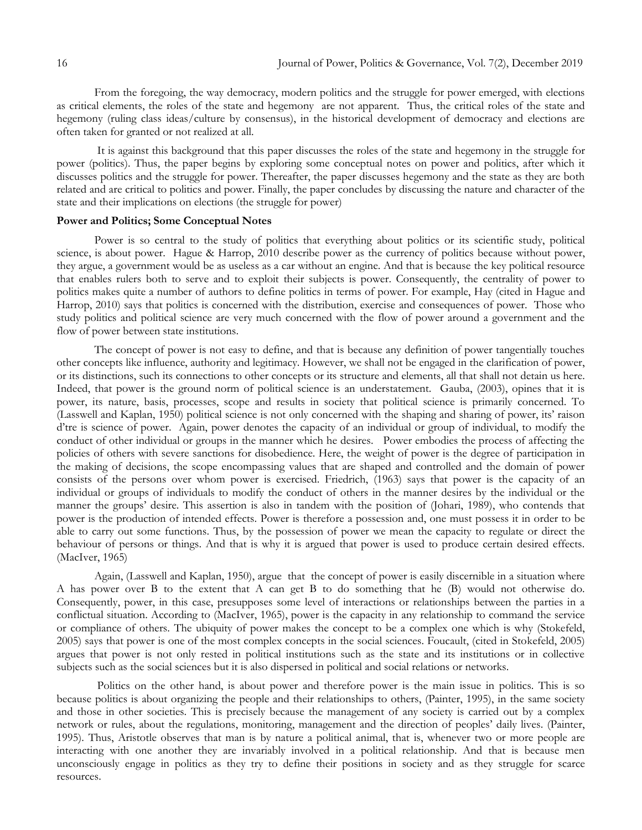From the foregoing, the way democracy, modern politics and the struggle for power emerged, with elections as critical elements, the roles of the state and hegemony are not apparent. Thus, the critical roles of the state and hegemony (ruling class ideas/culture by consensus), in the historical development of democracy and elections are often taken for granted or not realized at all.

It is against this background that this paper discusses the roles of the state and hegemony in the struggle for power (politics). Thus, the paper begins by exploring some conceptual notes on power and politics, after which it discusses politics and the struggle for power. Thereafter, the paper discusses hegemony and the state as they are both related and are critical to politics and power. Finally, the paper concludes by discussing the nature and character of the state and their implications on elections (the struggle for power)

### **Power and Politics; Some Conceptual Notes**

Power is so central to the study of politics that everything about politics or its scientific study, political science, is about power. Hague & Harrop, 2010 describe power as the currency of politics because without power, they argue, a government would be as useless as a car without an engine. And that is because the key political resource that enables rulers both to serve and to exploit their subjects is power. Consequently, the centrality of power to politics makes quite a number of authors to define politics in terms of power. For example, Hay (cited in Hague and Harrop, 2010) says that politics is concerned with the distribution, exercise and consequences of power. Those who study politics and political science are very much concerned with the flow of power around a government and the flow of power between state institutions.

The concept of power is not easy to define, and that is because any definition of power tangentially touches other concepts like influence, authority and legitimacy. However, we shall not be engaged in the clarification of power, or its distinctions, such its connections to other concepts or its structure and elements, all that shall not detain us here. Indeed, that power is the ground norm of political science is an understatement. Gauba, (2003), opines that it is power, its nature, basis, processes, scope and results in society that political science is primarily concerned. To (Lasswell and Kaplan, 1950) political science is not only concerned with the shaping and sharing of power, its' raison d'tre is science of power. Again, power denotes the capacity of an individual or group of individual, to modify the conduct of other individual or groups in the manner which he desires. Power embodies the process of affecting the policies of others with severe sanctions for disobedience. Here, the weight of power is the degree of participation in the making of decisions, the scope encompassing values that are shaped and controlled and the domain of power consists of the persons over whom power is exercised. Friedrich, (1963) says that power is the capacity of an individual or groups of individuals to modify the conduct of others in the manner desires by the individual or the manner the groups' desire. This assertion is also in tandem with the position of (Johari, 1989), who contends that power is the production of intended effects. Power is therefore a possession and, one must possess it in order to be able to carry out some functions. Thus, by the possession of power we mean the capacity to regulate or direct the behaviour of persons or things. And that is why it is argued that power is used to produce certain desired effects. (MacIver, 1965)

Again, (Lasswell and Kaplan, 1950), argue that the concept of power is easily discernible in a situation where A has power over B to the extent that A can get B to do something that he (B) would not otherwise do. Consequently, power, in this case, presupposes some level of interactions or relationships between the parties in a conflictual situation. According to (MacIver, 1965), power is the capacity in any relationship to command the service or compliance of others. The ubiquity of power makes the concept to be a complex one which is why (Stokefeld, 2005) says that power is one of the most complex concepts in the social sciences. Foucault, (cited in Stokefeld, 2005) argues that power is not only rested in political institutions such as the state and its institutions or in collective subjects such as the social sciences but it is also dispersed in political and social relations or networks.

Politics on the other hand, is about power and therefore power is the main issue in politics. This is so because politics is about organizing the people and their relationships to others, (Painter, 1995), in the same society and those in other societies. This is precisely because the management of any society is carried out by a complex network or rules, about the regulations, monitoring, management and the direction of peoples' daily lives. (Painter, 1995). Thus, Aristotle observes that man is by nature a political animal, that is, whenever two or more people are interacting with one another they are invariably involved in a political relationship. And that is because men unconsciously engage in politics as they try to define their positions in society and as they struggle for scarce resources.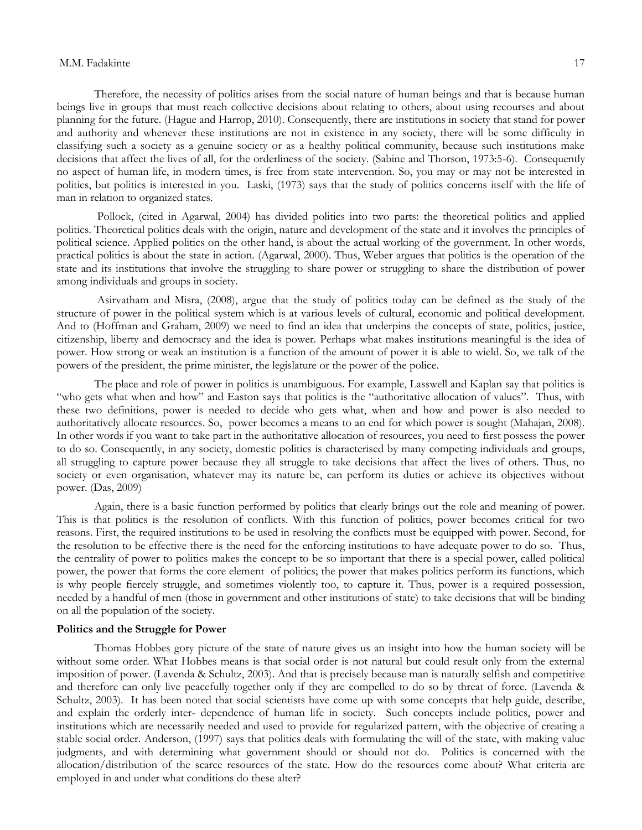#### M.M. Fadakinte 17

Therefore, the necessity of politics arises from the social nature of human beings and that is because human beings live in groups that must reach collective decisions about relating to others, about using recourses and about planning for the future. (Hague and Harrop, 2010). Consequently, there are institutions in society that stand for power and authority and whenever these institutions are not in existence in any society, there will be some difficulty in classifying such a society as a genuine society or as a healthy political community, because such institutions make decisions that affect the lives of all, for the orderliness of the society. (Sabine and Thorson, 1973:5-6). Consequently no aspect of human life, in modern times, is free from state intervention. So, you may or may not be interested in politics, but politics is interested in you. Laski, (1973) says that the study of politics concerns itself with the life of man in relation to organized states.

Pollock, (cited in Agarwal, 2004) has divided politics into two parts: the theoretical politics and applied politics. Theoretical politics deals with the origin, nature and development of the state and it involves the principles of political science. Applied politics on the other hand, is about the actual working of the government. In other words, practical politics is about the state in action. (Agarwal, 2000). Thus, Weber argues that politics is the operation of the state and its institutions that involve the struggling to share power or struggling to share the distribution of power among individuals and groups in society.

Asirvatham and Misra, (2008), argue that the study of politics today can be defined as the study of the structure of power in the political system which is at various levels of cultural, economic and political development. And to (Hoffman and Graham, 2009) we need to find an idea that underpins the concepts of state, politics, justice, citizenship, liberty and democracy and the idea is power. Perhaps what makes institutions meaningful is the idea of power. How strong or weak an institution is a function of the amount of power it is able to wield. So, we talk of the powers of the president, the prime minister, the legislature or the power of the police.

The place and role of power in politics is unambiguous. For example, Lasswell and Kaplan say that politics is "who gets what when and how" and Easton says that politics is the "authoritative allocation of values". Thus, with these two definitions, power is needed to decide who gets what, when and how and power is also needed to authoritatively allocate resources. So, power becomes a means to an end for which power is sought (Mahajan, 2008). In other words if you want to take part in the authoritative allocation of resources, you need to first possess the power to do so. Consequently, in any society, domestic politics is characterised by many competing individuals and groups, all struggling to capture power because they all struggle to take decisions that affect the lives of others. Thus, no society or even organisation, whatever may its nature be, can perform its duties or achieve its objectives without power. (Das, 2009)

Again, there is a basic function performed by politics that clearly brings out the role and meaning of power. This is that politics is the resolution of conflicts. With this function of politics, power becomes critical for two reasons. First, the required institutions to be used in resolving the conflicts must be equipped with power. Second, for the resolution to be effective there is the need for the enforcing institutions to have adequate power to do so. Thus, the centrality of power to politics makes the concept to be so important that there is a special power, called political power, the power that forms the core element of politics; the power that makes politics perform its functions, which is why people fiercely struggle, and sometimes violently too, to capture it. Thus, power is a required possession, needed by a handful of men (those in government and other institutions of state) to take decisions that will be binding on all the population of the society.

#### **Politics and the Struggle for Power**

Thomas Hobbes gory picture of the state of nature gives us an insight into how the human society will be without some order. What Hobbes means is that social order is not natural but could result only from the external imposition of power. (Lavenda & Schultz, 2003). And that is precisely because man is naturally selfish and competitive and therefore can only live peacefully together only if they are compelled to do so by threat of force. (Lavenda & Schultz, 2003). It has been noted that social scientists have come up with some concepts that help guide, describe, and explain the orderly inter- dependence of human life in society. Such concepts include politics, power and institutions which are necessarily needed and used to provide for regularized pattern, with the objective of creating a stable social order. Anderson, (1997) says that politics deals with formulating the will of the state, with making value judgments, and with determining what government should or should not do. Politics is concerned with the allocation/distribution of the scarce resources of the state. How do the resources come about? What criteria are employed in and under what conditions do these alter?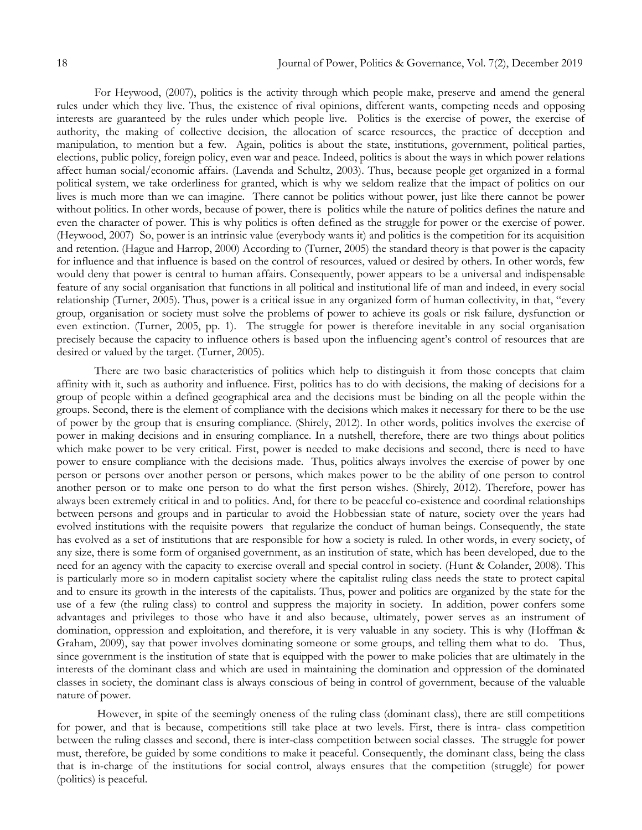For Heywood, (2007), politics is the activity through which people make, preserve and amend the general rules under which they live. Thus, the existence of rival opinions, different wants, competing needs and opposing interests are guaranteed by the rules under which people live. Politics is the exercise of power, the exercise of authority, the making of collective decision, the allocation of scarce resources, the practice of deception and manipulation, to mention but a few. Again, politics is about the state, institutions, government, political parties, elections, public policy, foreign policy, even war and peace. Indeed, politics is about the ways in which power relations affect human social/economic affairs. (Lavenda and Schultz, 2003). Thus, because people get organized in a formal political system, we take orderliness for granted, which is why we seldom realize that the impact of politics on our lives is much more than we can imagine. There cannot be politics without power, just like there cannot be power without politics. In other words, because of power, there is politics while the nature of politics defines the nature and even the character of power. This is why politics is often defined as the struggle for power or the exercise of power. (Heywood, 2007) So, power is an intrinsic value (everybody wants it) and politics is the competition for its acquisition and retention. (Hague and Harrop, 2000) According to (Turner, 2005) the standard theory is that power is the capacity for influence and that influence is based on the control of resources, valued or desired by others. In other words, few would deny that power is central to human affairs. Consequently, power appears to be a universal and indispensable feature of any social organisation that functions in all political and institutional life of man and indeed, in every social relationship (Turner, 2005). Thus, power is a critical issue in any organized form of human collectivity, in that, "every group, organisation or society must solve the problems of power to achieve its goals or risk failure, dysfunction or even extinction. (Turner, 2005, pp. 1). The struggle for power is therefore inevitable in any social organisation precisely because the capacity to influence others is based upon the influencing agent's control of resources that are desired or valued by the target. (Turner, 2005).

There are two basic characteristics of politics which help to distinguish it from those concepts that claim affinity with it, such as authority and influence. First, politics has to do with decisions, the making of decisions for a group of people within a defined geographical area and the decisions must be binding on all the people within the groups. Second, there is the element of compliance with the decisions which makes it necessary for there to be the use of power by the group that is ensuring compliance. (Shirely, 2012). In other words, politics involves the exercise of power in making decisions and in ensuring compliance. In a nutshell, therefore, there are two things about politics which make power to be very critical. First, power is needed to make decisions and second, there is need to have power to ensure compliance with the decisions made. Thus, politics always involves the exercise of power by one person or persons over another person or persons, which makes power to be the ability of one person to control another person or to make one person to do what the first person wishes. (Shirely, 2012). Therefore, power has always been extremely critical in and to politics. And, for there to be peaceful co-existence and coordinal relationships between persons and groups and in particular to avoid the Hobbessian state of nature, society over the years had evolved institutions with the requisite powers that regularize the conduct of human beings. Consequently, the state has evolved as a set of institutions that are responsible for how a society is ruled. In other words, in every society, of any size, there is some form of organised government, as an institution of state, which has been developed, due to the need for an agency with the capacity to exercise overall and special control in society. (Hunt & Colander, 2008). This is particularly more so in modern capitalist society where the capitalist ruling class needs the state to protect capital and to ensure its growth in the interests of the capitalists. Thus, power and politics are organized by the state for the use of a few (the ruling class) to control and suppress the majority in society. In addition, power confers some advantages and privileges to those who have it and also because, ultimately, power serves as an instrument of domination, oppression and exploitation, and therefore, it is very valuable in any society. This is why (Hoffman & Graham, 2009), say that power involves dominating someone or some groups, and telling them what to do. Thus, since government is the institution of state that is equipped with the power to make policies that are ultimately in the interests of the dominant class and which are used in maintaining the domination and oppression of the dominated classes in society, the dominant class is always conscious of being in control of government, because of the valuable nature of power.

However, in spite of the seemingly oneness of the ruling class (dominant class), there are still competitions for power, and that is because, competitions still take place at two levels. First, there is intra- class competition between the ruling classes and second, there is inter-class competition between social classes. The struggle for power must, therefore, be guided by some conditions to make it peaceful. Consequently, the dominant class, being the class that is in-charge of the institutions for social control, always ensures that the competition (struggle) for power (politics) is peaceful.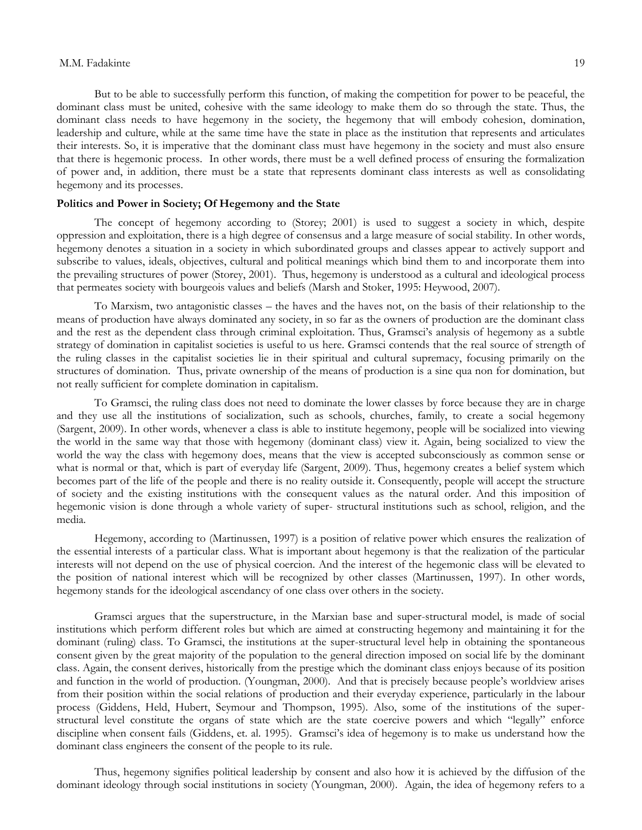#### M.M. Fadakinte 19

But to be able to successfully perform this function, of making the competition for power to be peaceful, the dominant class must be united, cohesive with the same ideology to make them do so through the state. Thus, the dominant class needs to have hegemony in the society, the hegemony that will embody cohesion, domination, leadership and culture, while at the same time have the state in place as the institution that represents and articulates their interests. So, it is imperative that the dominant class must have hegemony in the society and must also ensure that there is hegemonic process. In other words, there must be a well defined process of ensuring the formalization of power and, in addition, there must be a state that represents dominant class interests as well as consolidating hegemony and its processes.

#### **Politics and Power in Society; Of Hegemony and the State**

The concept of hegemony according to (Storey; 2001) is used to suggest a society in which, despite oppression and exploitation, there is a high degree of consensus and a large measure of social stability. In other words, hegemony denotes a situation in a society in which subordinated groups and classes appear to actively support and subscribe to values, ideals, objectives, cultural and political meanings which bind them to and incorporate them into the prevailing structures of power (Storey, 2001). Thus, hegemony is understood as a cultural and ideological process that permeates society with bourgeois values and beliefs (Marsh and Stoker, 1995: Heywood, 2007).

To Marxism, two antagonistic classes – the haves and the haves not, on the basis of their relationship to the means of production have always dominated any society, in so far as the owners of production are the dominant class and the rest as the dependent class through criminal exploitation. Thus, Gramsci's analysis of hegemony as a subtle strategy of domination in capitalist societies is useful to us here. Gramsci contends that the real source of strength of the ruling classes in the capitalist societies lie in their spiritual and cultural supremacy, focusing primarily on the structures of domination. Thus, private ownership of the means of production is a sine qua non for domination, but not really sufficient for complete domination in capitalism.

To Gramsci, the ruling class does not need to dominate the lower classes by force because they are in charge and they use all the institutions of socialization, such as schools, churches, family, to create a social hegemony (Sargent, 2009). In other words, whenever a class is able to institute hegemony, people will be socialized into viewing the world in the same way that those with hegemony (dominant class) view it. Again, being socialized to view the world the way the class with hegemony does, means that the view is accepted subconsciously as common sense or what is normal or that, which is part of everyday life (Sargent, 2009). Thus, hegemony creates a belief system which becomes part of the life of the people and there is no reality outside it. Consequently, people will accept the structure of society and the existing institutions with the consequent values as the natural order. And this imposition of hegemonic vision is done through a whole variety of super- structural institutions such as school, religion, and the media.

Hegemony, according to (Martinussen, 1997) is a position of relative power which ensures the realization of the essential interests of a particular class. What is important about hegemony is that the realization of the particular interests will not depend on the use of physical coercion. And the interest of the hegemonic class will be elevated to the position of national interest which will be recognized by other classes (Martinussen, 1997). In other words, hegemony stands for the ideological ascendancy of one class over others in the society.

Gramsci argues that the superstructure, in the Marxian base and super-structural model, is made of social institutions which perform different roles but which are aimed at constructing hegemony and maintaining it for the dominant (ruling) class. To Gramsci, the institutions at the super-structural level help in obtaining the spontaneous consent given by the great majority of the population to the general direction imposed on social life by the dominant class. Again, the consent derives, historically from the prestige which the dominant class enjoys because of its position and function in the world of production. (Youngman, 2000). And that is precisely because people's worldview arises from their position within the social relations of production and their everyday experience, particularly in the labour process (Giddens, Held, Hubert, Seymour and Thompson, 1995). Also, some of the institutions of the superstructural level constitute the organs of state which are the state coercive powers and which "legally" enforce discipline when consent fails (Giddens, et. al. 1995). Gramsci's idea of hegemony is to make us understand how the dominant class engineers the consent of the people to its rule.

Thus, hegemony signifies political leadership by consent and also how it is achieved by the diffusion of the dominant ideology through social institutions in society (Youngman, 2000). Again, the idea of hegemony refers to a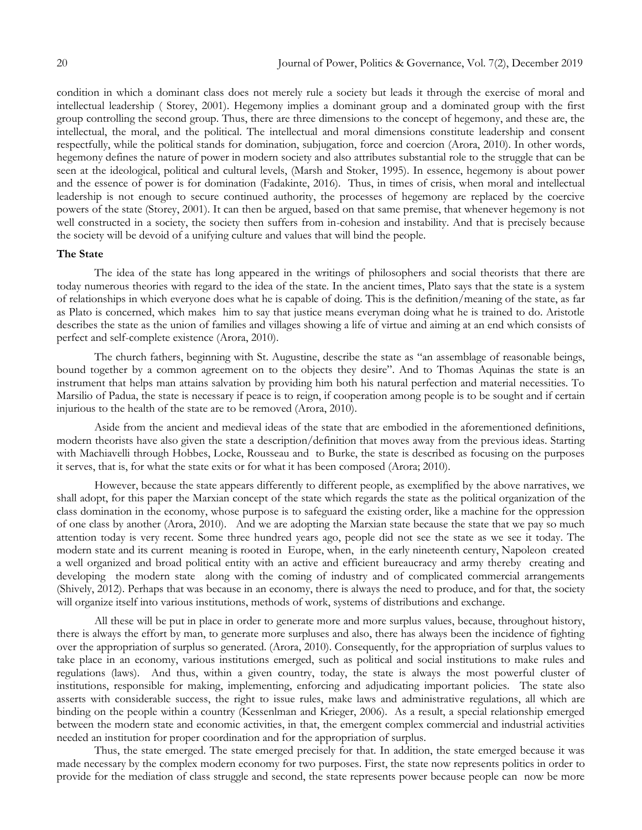condition in which a dominant class does not merely rule a society but leads it through the exercise of moral and intellectual leadership ( Storey, 2001). Hegemony implies a dominant group and a dominated group with the first group controlling the second group. Thus, there are three dimensions to the concept of hegemony, and these are, the intellectual, the moral, and the political. The intellectual and moral dimensions constitute leadership and consent respectfully, while the political stands for domination, subjugation, force and coercion (Arora, 2010). In other words, hegemony defines the nature of power in modern society and also attributes substantial role to the struggle that can be seen at the ideological, political and cultural levels, (Marsh and Stoker, 1995). In essence, hegemony is about power and the essence of power is for domination (Fadakinte, 2016). Thus, in times of crisis, when moral and intellectual leadership is not enough to secure continued authority, the processes of hegemony are replaced by the coercive powers of the state (Storey, 2001). It can then be argued, based on that same premise, that whenever hegemony is not well constructed in a society, the society then suffers from in-cohesion and instability. And that is precisely because the society will be devoid of a unifying culture and values that will bind the people.

#### **The State**

The idea of the state has long appeared in the writings of philosophers and social theorists that there are today numerous theories with regard to the idea of the state. In the ancient times, Plato says that the state is a system of relationships in which everyone does what he is capable of doing. This is the definition/meaning of the state, as far as Plato is concerned, which makes him to say that justice means everyman doing what he is trained to do. Aristotle describes the state as the union of families and villages showing a life of virtue and aiming at an end which consists of perfect and self-complete existence (Arora, 2010).

The church fathers, beginning with St. Augustine, describe the state as "an assemblage of reasonable beings, bound together by a common agreement on to the objects they desire". And to Thomas Aquinas the state is an instrument that helps man attains salvation by providing him both his natural perfection and material necessities. To Marsilio of Padua, the state is necessary if peace is to reign, if cooperation among people is to be sought and if certain injurious to the health of the state are to be removed (Arora, 2010).

Aside from the ancient and medieval ideas of the state that are embodied in the aforementioned definitions, modern theorists have also given the state a description/definition that moves away from the previous ideas. Starting with Machiavelli through Hobbes, Locke, Rousseau and to Burke, the state is described as focusing on the purposes it serves, that is, for what the state exits or for what it has been composed (Arora; 2010).

However, because the state appears differently to different people, as exemplified by the above narratives, we shall adopt, for this paper the Marxian concept of the state which regards the state as the political organization of the class domination in the economy, whose purpose is to safeguard the existing order, like a machine for the oppression of one class by another (Arora, 2010). And we are adopting the Marxian state because the state that we pay so much attention today is very recent. Some three hundred years ago, people did not see the state as we see it today. The modern state and its current meaning is rooted in Europe, when, in the early nineteenth century, Napoleon created a well organized and broad political entity with an active and efficient bureaucracy and army thereby creating and developing the modern state along with the coming of industry and of complicated commercial arrangements (Shively, 2012). Perhaps that was because in an economy, there is always the need to produce, and for that, the society will organize itself into various institutions, methods of work, systems of distributions and exchange.

All these will be put in place in order to generate more and more surplus values, because, throughout history, there is always the effort by man, to generate more surpluses and also, there has always been the incidence of fighting over the appropriation of surplus so generated. (Arora, 2010). Consequently, for the appropriation of surplus values to take place in an economy, various institutions emerged, such as political and social institutions to make rules and regulations (laws). And thus, within a given country, today, the state is always the most powerful cluster of institutions, responsible for making, implementing, enforcing and adjudicating important policies. The state also asserts with considerable success, the right to issue rules, make laws and administrative regulations, all which are binding on the people within a country (Kessenlman and Krieger, 2006). As a result, a special relationship emerged between the modern state and economic activities, in that, the emergent complex commercial and industrial activities needed an institution for proper coordination and for the appropriation of surplus.

Thus, the state emerged. The state emerged precisely for that. In addition, the state emerged because it was made necessary by the complex modern economy for two purposes. First, the state now represents politics in order to provide for the mediation of class struggle and second, the state represents power because people can now be more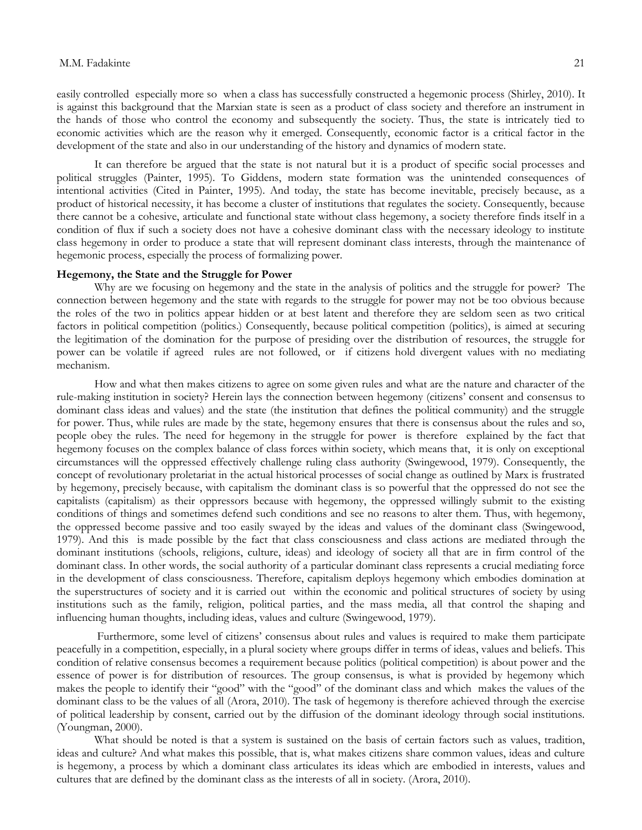easily controlled especially more so when a class has successfully constructed a hegemonic process (Shirley, 2010). It is against this background that the Marxian state is seen as a product of class society and therefore an instrument in the hands of those who control the economy and subsequently the society. Thus, the state is intricately tied to economic activities which are the reason why it emerged. Consequently, economic factor is a critical factor in the development of the state and also in our understanding of the history and dynamics of modern state.

It can therefore be argued that the state is not natural but it is a product of specific social processes and political struggles (Painter, 1995). To Giddens, modern state formation was the unintended consequences of intentional activities (Cited in Painter, 1995). And today, the state has become inevitable, precisely because, as a product of historical necessity, it has become a cluster of institutions that regulates the society. Consequently, because there cannot be a cohesive, articulate and functional state without class hegemony, a society therefore finds itself in a condition of flux if such a society does not have a cohesive dominant class with the necessary ideology to institute class hegemony in order to produce a state that will represent dominant class interests, through the maintenance of hegemonic process, especially the process of formalizing power.

### **Hegemony, the State and the Struggle for Power**

Why are we focusing on hegemony and the state in the analysis of politics and the struggle for power? The connection between hegemony and the state with regards to the struggle for power may not be too obvious because the roles of the two in politics appear hidden or at best latent and therefore they are seldom seen as two critical factors in political competition (politics.) Consequently, because political competition (politics), is aimed at securing the legitimation of the domination for the purpose of presiding over the distribution of resources, the struggle for power can be volatile if agreed rules are not followed, or if citizens hold divergent values with no mediating mechanism.

How and what then makes citizens to agree on some given rules and what are the nature and character of the rule-making institution in society? Herein lays the connection between hegemony (citizens' consent and consensus to dominant class ideas and values) and the state (the institution that defines the political community) and the struggle for power. Thus, while rules are made by the state, hegemony ensures that there is consensus about the rules and so, people obey the rules. The need for hegemony in the struggle for power is therefore explained by the fact that hegemony focuses on the complex balance of class forces within society, which means that, it is only on exceptional circumstances will the oppressed effectively challenge ruling class authority (Swingewood, 1979). Consequently, the concept of revolutionary proletariat in the actual historical processes of social change as outlined by Marx is frustrated by hegemony, precisely because, with capitalism the dominant class is so powerful that the oppressed do not see the capitalists (capitalism) as their oppressors because with hegemony, the oppressed willingly submit to the existing conditions of things and sometimes defend such conditions and see no reasons to alter them. Thus, with hegemony, the oppressed become passive and too easily swayed by the ideas and values of the dominant class (Swingewood, 1979). And this is made possible by the fact that class consciousness and class actions are mediated through the dominant institutions (schools, religions, culture, ideas) and ideology of society all that are in firm control of the dominant class. In other words, the social authority of a particular dominant class represents a crucial mediating force in the development of class consciousness. Therefore, capitalism deploys hegemony which embodies domination at the superstructures of society and it is carried out within the economic and political structures of society by using institutions such as the family, religion, political parties, and the mass media, all that control the shaping and influencing human thoughts, including ideas, values and culture (Swingewood, 1979).

Furthermore, some level of citizens' consensus about rules and values is required to make them participate peacefully in a competition, especially, in a plural society where groups differ in terms of ideas, values and beliefs. This condition of relative consensus becomes a requirement because politics (political competition) is about power and the essence of power is for distribution of resources. The group consensus, is what is provided by hegemony which makes the people to identify their "good" with the "good" of the dominant class and which makes the values of the dominant class to be the values of all (Arora, 2010). The task of hegemony is therefore achieved through the exercise of political leadership by consent, carried out by the diffusion of the dominant ideology through social institutions. (Youngman, 2000).

What should be noted is that a system is sustained on the basis of certain factors such as values, tradition, ideas and culture? And what makes this possible, that is, what makes citizens share common values, ideas and culture is hegemony, a process by which a dominant class articulates its ideas which are embodied in interests, values and cultures that are defined by the dominant class as the interests of all in society. (Arora, 2010).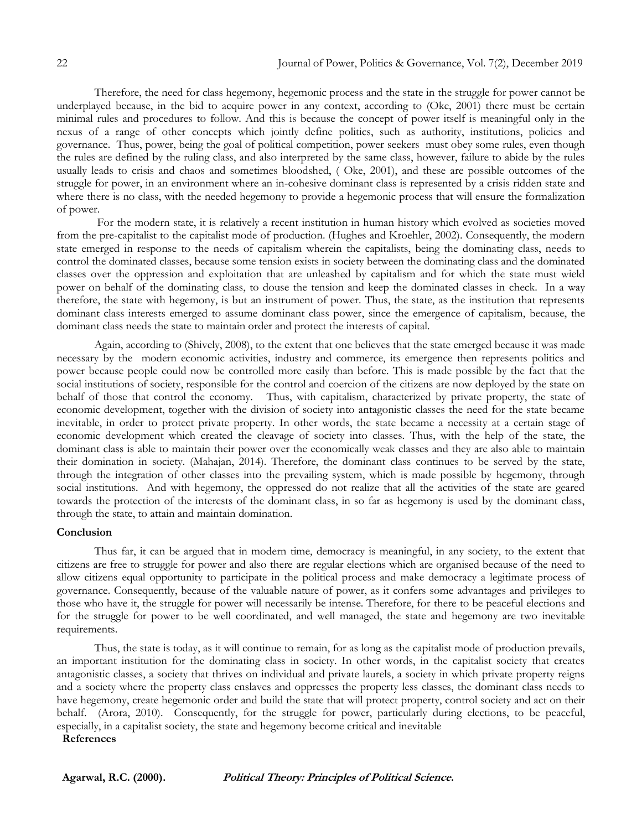Therefore, the need for class hegemony, hegemonic process and the state in the struggle for power cannot be underplayed because, in the bid to acquire power in any context, according to (Oke, 2001) there must be certain minimal rules and procedures to follow. And this is because the concept of power itself is meaningful only in the nexus of a range of other concepts which jointly define politics, such as authority, institutions, policies and governance. Thus, power, being the goal of political competition, power seekers must obey some rules, even though the rules are defined by the ruling class, and also interpreted by the same class, however, failure to abide by the rules usually leads to crisis and chaos and sometimes bloodshed, ( Oke, 2001), and these are possible outcomes of the struggle for power, in an environment where an in-cohesive dominant class is represented by a crisis ridden state and where there is no class, with the needed hegemony to provide a hegemonic process that will ensure the formalization of power.

For the modern state, it is relatively a recent institution in human history which evolved as societies moved from the pre-capitalist to the capitalist mode of production. (Hughes and Kroehler, 2002). Consequently, the modern state emerged in response to the needs of capitalism wherein the capitalists, being the dominating class, needs to control the dominated classes, because some tension exists in society between the dominating class and the dominated classes over the oppression and exploitation that are unleashed by capitalism and for which the state must wield power on behalf of the dominating class, to douse the tension and keep the dominated classes in check. In a way therefore, the state with hegemony, is but an instrument of power. Thus, the state, as the institution that represents dominant class interests emerged to assume dominant class power, since the emergence of capitalism, because, the dominant class needs the state to maintain order and protect the interests of capital.

Again, according to (Shively, 2008), to the extent that one believes that the state emerged because it was made necessary by the modern economic activities, industry and commerce, its emergence then represents politics and power because people could now be controlled more easily than before. This is made possible by the fact that the social institutions of society, responsible for the control and coercion of the citizens are now deployed by the state on behalf of those that control the economy. Thus, with capitalism, characterized by private property, the state of economic development, together with the division of society into antagonistic classes the need for the state became inevitable, in order to protect private property. In other words, the state became a necessity at a certain stage of economic development which created the cleavage of society into classes. Thus, with the help of the state, the dominant class is able to maintain their power over the economically weak classes and they are also able to maintain their domination in society. (Mahajan, 2014). Therefore, the dominant class continues to be served by the state, through the integration of other classes into the prevailing system, which is made possible by hegemony, through social institutions. And with hegemony, the oppressed do not realize that all the activities of the state are geared towards the protection of the interests of the dominant class, in so far as hegemony is used by the dominant class, through the state, to attain and maintain domination.

#### **Conclusion**

Thus far, it can be argued that in modern time, democracy is meaningful, in any society, to the extent that citizens are free to struggle for power and also there are regular elections which are organised because of the need to allow citizens equal opportunity to participate in the political process and make democracy a legitimate process of governance. Consequently, because of the valuable nature of power, as it confers some advantages and privileges to those who have it, the struggle for power will necessarily be intense. Therefore, for there to be peaceful elections and for the struggle for power to be well coordinated, and well managed, the state and hegemony are two inevitable requirements.

Thus, the state is today, as it will continue to remain, for as long as the capitalist mode of production prevails, an important institution for the dominating class in society. In other words, in the capitalist society that creates antagonistic classes, a society that thrives on individual and private laurels, a society in which private property reigns and a society where the property class enslaves and oppresses the property less classes, the dominant class needs to have hegemony, create hegemonic order and build the state that will protect property, control society and act on their behalf. (Arora, 2010). Consequently, for the struggle for power, particularly during elections, to be peaceful, especially, in a capitalist society, the state and hegemony become critical and inevitable

## **References**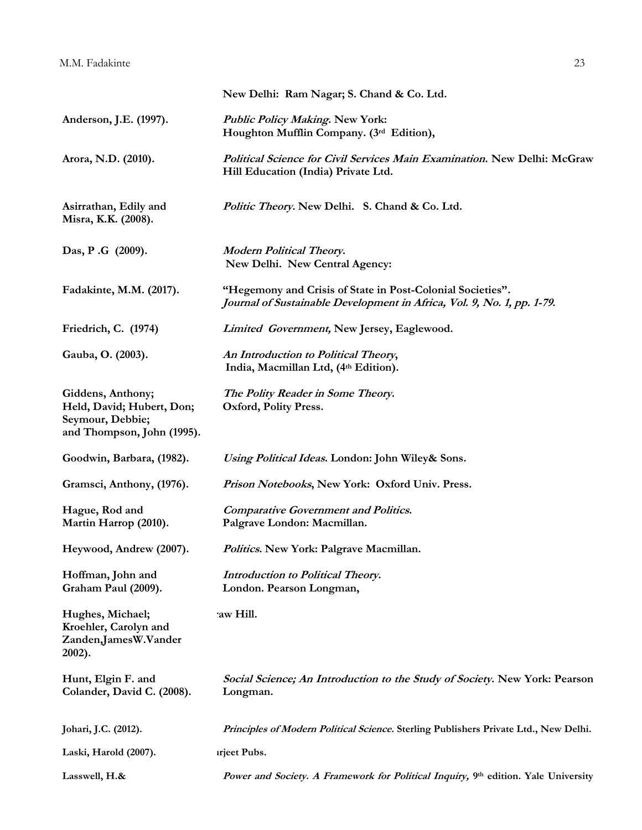|                                                                                                  | New Delhi: Ram Nagar; S. Chand & Co. Ltd.                                                                                            |
|--------------------------------------------------------------------------------------------------|--------------------------------------------------------------------------------------------------------------------------------------|
| Anderson, J.E. (1997).                                                                           | Public Policy Making. New York:<br>Houghton Mufflin Company. (3rd Edition),                                                          |
| Arora, N.D. (2010).                                                                              | Political Science for Civil Services Main Examination. New Delhi: McGraw<br>Hill Education (India) Private Ltd.                      |
| Asirrathan, Edily and<br>Misra, K.K. (2008).                                                     | Politic Theory. New Delhi. S. Chand & Co. Ltd.                                                                                       |
| Das, P.G (2009).                                                                                 | <b>Modern Political Theory.</b><br>New Delhi. New Central Agency:                                                                    |
| Fadakinte, M.M. (2017).                                                                          | "Hegemony and Crisis of State in Post-Colonial Societies".<br>Journal of Sustainable Development in Africa, Vol. 9, No. 1, pp. 1-79. |
| Friedrich, C. (1974)                                                                             | Limited Government, New Jersey, Eaglewood.                                                                                           |
| Gauba, O. (2003).                                                                                | An Introduction to Political Theory,<br>India, Macmillan Ltd, (4th Edition).                                                         |
| Giddens, Anthony;<br>Held, David; Hubert, Don;<br>Seymour, Debbie;<br>and Thompson, John (1995). | The Polity Reader in Some Theory.<br>Oxford, Polity Press.                                                                           |
| Goodwin, Barbara, (1982).                                                                        | Using Political Ideas. London: John Wiley& Sons.                                                                                     |
| Gramsci, Anthony, (1976).                                                                        | Prison Notebooks, New York: Oxford Univ. Press.                                                                                      |
| Hague, Rod and<br>Martin Harrop (2010).                                                          | <b>Comparative Government and Politics.</b><br>Palgrave London: Macmillan.                                                           |
| Heywood, Andrew (2007).                                                                          | Politics. New York: Palgrave Macmillan.                                                                                              |
| Hoffman, John and<br>Graham Paul (2009).                                                         | Introduction to Political Theory.<br>London. Pearson Longman,                                                                        |
| Hughes, Michael;<br>Kroehler, Carolyn and<br>Zanden, James W. Vander<br>2002).                   | :aw Hill.                                                                                                                            |
| Hunt, Elgin F. and<br>Colander, David C. (2008).                                                 | Social Science; An Introduction to the Study of Society. New York: Pearson<br>Longman.                                               |
| Johari, J.C. (2012).                                                                             | Principles of Modern Political Science. Sterling Publishers Private Ltd., New Delhi.                                                 |
| Laski, Harold (2007).                                                                            | <i>urjeet Pubs.</i>                                                                                                                  |
| Lasswell, H.&                                                                                    | Power and Society. A Framework for Political Inquiry, 9th edition. Yale University                                                   |